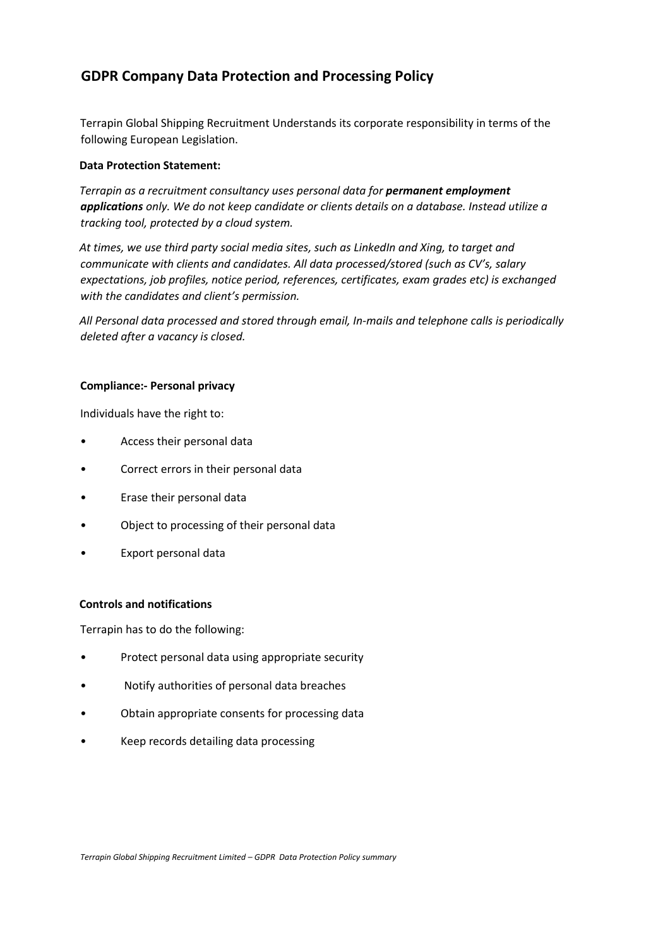# **GDPR Company Data Protection and Processing Policy**

Terrapin Global Shipping Recruitment Understands its corporate responsibility in terms of the following European Legislation.

# **Data Protection Statement:**

*Terrapin as a recruitment consultancy uses personal data for permanent employment applications only. We do not keep candidate or clients details on a database. Instead utilize a tracking tool, protected by a cloud system.* 

*At times, we use third party social media sites, such as LinkedIn and Xing, to target and communicate with clients and candidates. All data processed/stored (such as CV's, salary expectations, job profiles, notice period, references, certificates, exam grades etc) is exchanged with the candidates and client's permission.*

*All Personal data processed and stored through email, In-mails and telephone calls is periodically deleted after a vacancy is closed.* 

#### **Compliance:- Personal privacy**

Individuals have the right to:

- Access their personal data
- Correct errors in their personal data
- Erase their personal data
- Object to processing of their personal data
- Export personal data

#### **Controls and notifications**

Terrapin has to do the following:

- Protect personal data using appropriate security
- Notify authorities of personal data breaches
- Obtain appropriate consents for processing data
- Keep records detailing data processing